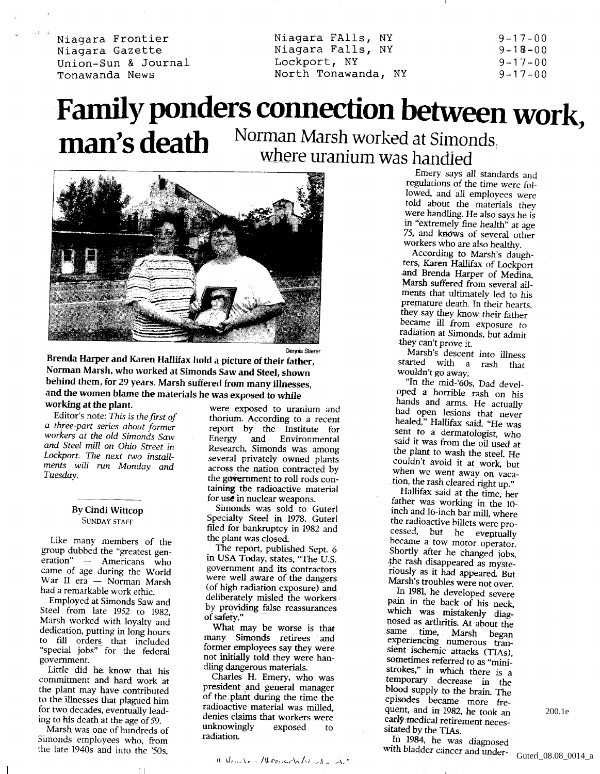Niagara Frontier Niagara Gazette Union-Sun & Journal Tonawanda News

Niagara FAlls, NY Niagara Falls, NY Lockport, NY North Tonawanda, NY  $9 - 17 - 00$  $9 - 18 - 00$  $9 - 17 - 00$  $9 - 17 - 00$ 

## Family ponders connection between work, man's death Norman Marsh worked at Simonds. where uranium was handled



<sup>Dennis Stierer</sup><br>Brenda Harper and Karen Hallifax hold a picture of their father, **Norman Marsh, who worked at Simonds Saw and Steel, shown behind them, for** 29 years. **Marsh suffered from many illnesses, and the women blame the materials he was exposed to while working at the plant.**

Editor's note: *This is the first of a three-part series about former workers at the old Simonds Saw and Steel mill on Ohio Street in Lockport. The next two installments will run Monday and Tuesday.*

## **By Cindi Wittcop** SUNDAY STAFF

Like many members of the group dubbed the "greatest generation" — Americans who came of age during the World War II era — Norman Marsh had a remarkable work ethic.

Employed at Simonds Saw and Steel from late 1952 to 1982, Marsh worked with loyalty and dedication, putting in long hours to fill orders^ that included "special jobs" for the federal government.

Little did he know that his commitment and hard work at the plant may have contributed to the illnesses that plagued him for two decades, eventually leading to his death at the age of 59.

Marsh was one of hundreds of Simonds employees who, from the late 1940s and into the '50s,

were exposed to uranium and thorium. According to a recent report by the Institute for Energy and Environmental Research, Simonds was among several privately owned plants across the nation contracted by the **government to roll** rods containing **the** radioactive material for use in nuclear weapons.

Simonds was sold to Guterl Specialty Steel in 1978. Guterl filed for bankruptcy in 1982 and the plant was closed.

The report, published Sept. 6 in USA Today, states, "The U.S. government and its contractors were well aware of the dangers (of high radiation exposure) and deliberately misled the workers by providing false reassurances of safety."

**What** may be worse is that many Simonds retirees and former employees say they were not initially told they were handling dangerous materials.

Charles H. Emery, who was president and general manager of the plant during the time the radioactive material was milled, denies claims that workers were unknowingly exposed to radiation.

Emery says all standards and regulations of the time were followed, and all employees were told about the materials they were handling. He also says he is in "extremely fine health" at age 75, and knows of several other workers who are also healthy.

According to Marsh's daughters, Karen Hallifax of Lockport and Brenda Harper of Medina, Marsh suffered from several ailments that ultimately led to his premature death. In their hearts, they say they know their father became ill from exposure to radiation at Simonds, but admit they can't prove it.

Marsh's descent into illness started with a rash that wouldn't go away.

"In the mid-'60s, Dad developed a horrible rash on his hands and arms. He actually had open lesions that never healed," Hallifax said. "He was sent to a dermatologist, who said it was from the oil used at the plant to wash the steel. He couldn't avoid it at work, but when we went away on vacation, the rash cleared right up."

Hallifax said at the time, her father was working in the 10 inch and 16-inch bar mill, where the radioactive billets were processed, but he eventually became a tow motor operator. Shortly after he changed jobs, ,the rash disappeared as mysteriously as it had appeared. But Marsh's troubles were not over.

In 1981, he developed severe pain in the back of his neck, which was mistakenly diagnosed as arthritis. At about the same time, Marsh began experiencing numerous transient ischemic attacks (TIAs), sometimes referred to as "ministrokes," in which there is a temporary decrease in the blood supply to the brain. The episodes became more frequent, and in 1982, he took an early medical retirement necessitated by the TIAs.

In 1984, he was diagnosed with bladder cancer and under**H 1** 200.1e